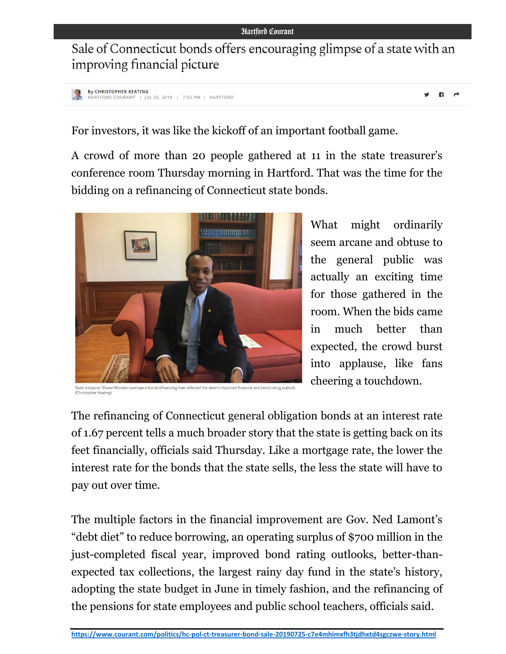Sale of Connecticut bonds offers encouraging glimpse of a state with an improving financial picture

```
By CHRISTOPHER KEATING
HARTFORD COURANT | JUL 25, 2019 | 7:03 PM | HARTFORD
```
 $\mathbf{a}$ 

For investors, it was like the kickoff of an important football game.

A crowd of more than 20 people gathered at 11 in the state treasurer's conference room Thursday morning in Hartford. That was the time for the bidding on a refinancing of Connecticut state bonds.



State treasurer Shawn Wooden oversaw a bond refinancing that reflected the state's improved financial and bond rating outlook<br>(Christopher Keating)

What might ordinarily seem arcane and obtuse to the general public was actually an exciting time for those gathered in the room. When the bids came in much better than expected, the crowd burst into applause, like fans cheering a touchdown.

The refinancing of Connecticut general obligation bonds at an interest rate of 1.67 percent tells a much broader story that the state is getting back on its feet financially, officials said Thursday. Like a mortgage rate, the lower the interest rate for the bonds that the state sells, the less the state will have to pay out over time.

The multiple factors in the financial improvement are Gov. Ned Lamont's "debt diet" to reduce borrowing, an operating surplus of \$700 million in the just-completed fiscal year, improved bond rating outlooks, better-thanexpected tax collections, the largest rainy day fund in the state's history, adopting the state budget in June in timely fashion, and the refinancing of the pensions for state employees and public school teachers, officials said.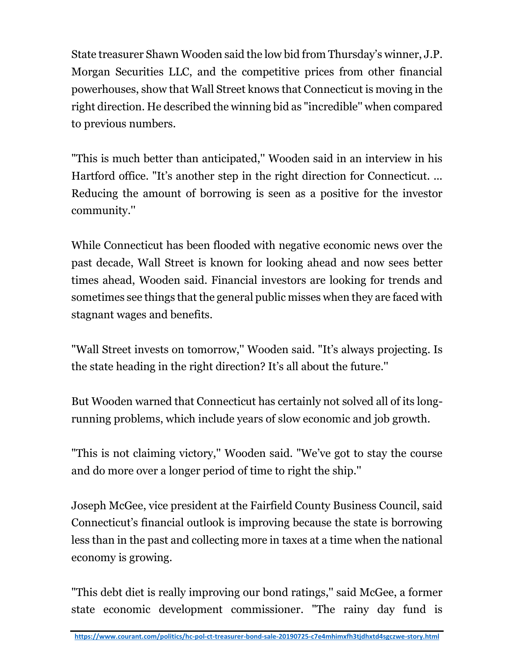State treasurer Shawn Wooden said the low bid from Thursday's winner, J.P. Morgan Securities LLC, and the competitive prices from other financial powerhouses, show that Wall Street knows that Connecticut is moving in the right direction. He described the winning bid as "incredible'' when compared to previous numbers.

"This is much better than anticipated,'' Wooden said in an interview in his Hartford office. "It's another step in the right direction for Connecticut. ... Reducing the amount of borrowing is seen as a positive for the investor community.''

While Connecticut has been flooded with negative economic news over the past decade, Wall Street is known for looking ahead and now sees better times ahead, Wooden said. Financial investors are looking for trends and sometimes see things that the general public misses when they are faced with stagnant wages and benefits.

"Wall Street invests on tomorrow,'' Wooden said. "It's always projecting. Is the state heading in the right direction? It's all about the future.''

But Wooden warned that Connecticut has certainly not solved all of its longrunning problems, which include years of slow economic and job growth.

"This is not claiming victory,'' Wooden said. "We've got to stay the course and do more over a longer period of time to right the ship.''

Joseph McGee, vice president at the Fairfield County Business Council, said Connecticut's financial outlook is improving because the state is borrowing less than in the past and collecting more in taxes at a time when the national economy is growing.

"This debt diet is really improving our bond ratings,'' said McGee, a former state economic development commissioner. "The rainy day fund is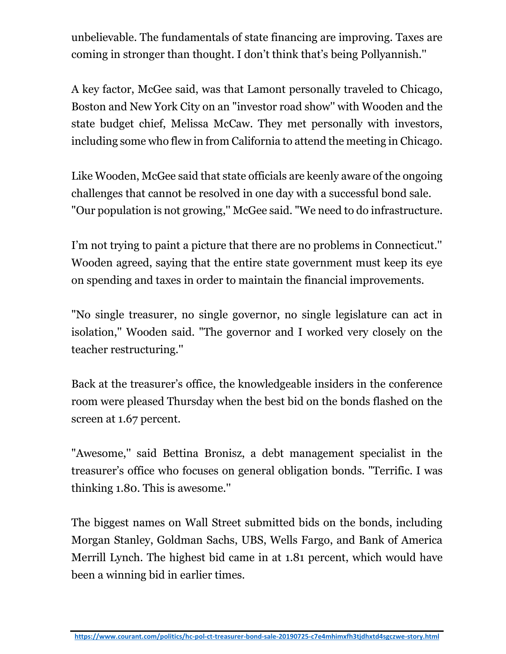unbelievable. The fundamentals of state financing are improving. Taxes are coming in stronger than thought. I don't think that's being Pollyannish.''

A key factor, McGee said, was that Lamont personally traveled to Chicago, Boston and New York City on an "investor road show'' with Wooden and the state budget chief, Melissa McCaw. They met personally with investors, including some who flew in from California to attend the meeting in Chicago.

Like Wooden, McGee said that state officials are keenly aware of the ongoing challenges that cannot be resolved in one day with a successful bond sale. "Our population is not growing,'' McGee said. "We need to do infrastructure.

I'm not trying to paint a picture that there are no problems in Connecticut.'' Wooden agreed, saying that the entire state government must keep its eye on spending and taxes in order to maintain the financial improvements.

"No single treasurer, no single governor, no single legislature can act in isolation,'' Wooden said. "The governor and I worked very closely on the teacher restructuring.''

Back at the treasurer's office, the knowledgeable insiders in the conference room were pleased Thursday when the best bid on the bonds flashed on the screen at 1.67 percent.

"Awesome,'' said Bettina Bronisz, a debt management specialist in the treasurer's office who focuses on general obligation bonds. "Terrific. I was thinking 1.80. This is awesome.''

The biggest names on Wall Street submitted bids on the bonds, including Morgan Stanley, Goldman Sachs, UBS, Wells Fargo, and Bank of America Merrill Lynch. The highest bid came in at 1.81 percent, which would have been a winning bid in earlier times.